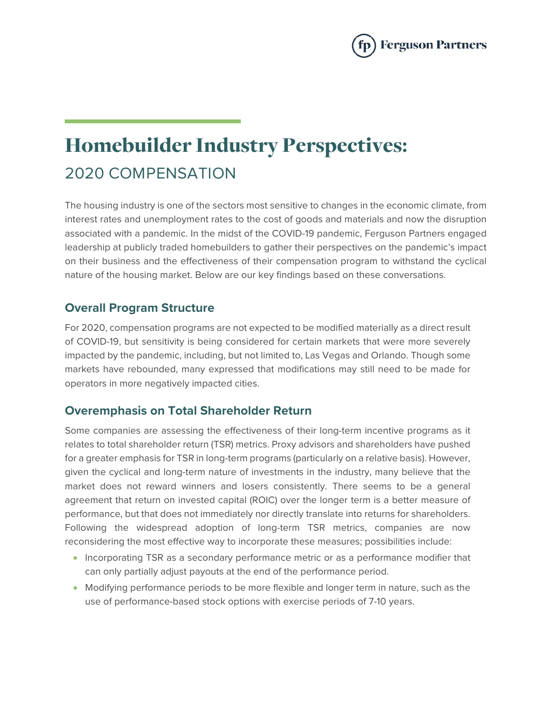

# Homebuilder Industry Perspectives: 2020 COMPENSATION

The housing industry is one of the sectors most sensitive to changes in the economic climate, from interest rates and unemployment rates to the cost of goods and materials and now the disruption associated with a pandemic. In the midst of the COVID-19 pandemic, Ferguson Partners engaged leadership at publicly traded homebuilders to gather their perspectives on the pandemic's impact on their business and the effectiveness of their compensation program to withstand the cyclical nature of the housing market. Below are our key findings based on these conversations.

#### **Overall Program Structure**

For 2020, compensation programs are not expected to be modified materially as a direct result of COVID-19, but sensitivity is being considered for certain markets that were more severely impacted by the pandemic, including, but not limited to, Las Vegas and Orlando. Though some markets have rebounded, many expressed that modifications may still need to be made for operators in more negatively impacted cities.

#### **Overemphasis on Total Shareholder Return**

Some companies are assessing the effectiveness of their long-term incentive programs as it relates to total shareholder return (TSR) metrics. Proxy advisors and shareholders have pushed for a greater emphasis for TSR in long-term programs (particularly on a relative basis). However, given the cyclical and long-term nature of investments in the industry, many believe that the market does not reward winners and losers consistently. There seems to be a general agreement that return on invested capital (ROIC) over the longer term is a better measure of performance, but that does not immediately nor directly translate into returns for shareholders. Following the widespread adoption of long-term TSR metrics, companies are now reconsidering the most effective way to incorporate these measures; possibilities include:

- Incorporating TSR as a secondary performance metric or as a performance modifier that can only partially adjust payouts at the end of the performance period.
- Modifying performance periods to be more flexible and longer term in nature, such as the use of performance-based stock options with exercise periods of 7-10 years.